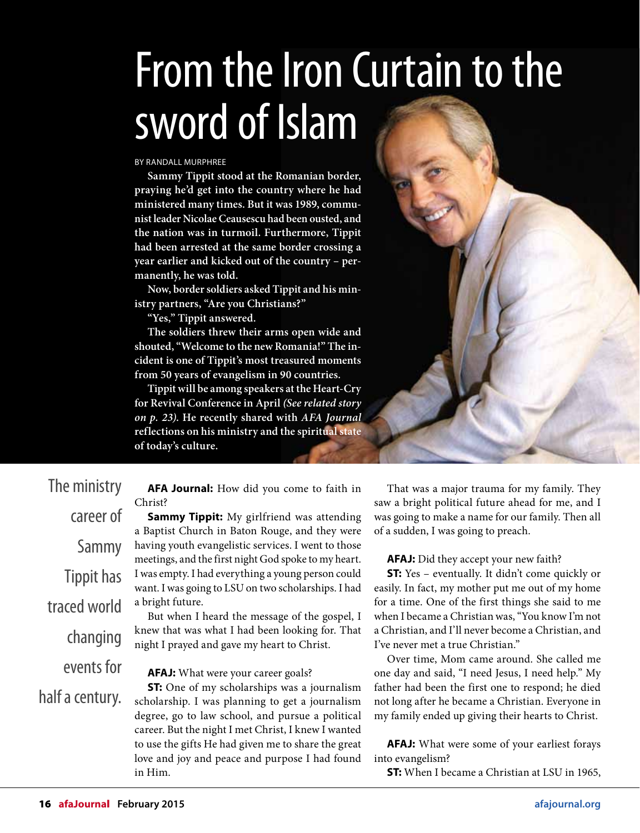## From the Iron Curtain to the sword of Islam

BY RANDALL MURPHREE

**Sammy Tippit stood at the Romanian border, praying he'd get into the country where he had ministered many times. But it was 1989, communist leader Nicolae Ceausescu had been ousted, and the nation was in turmoil. Furthermore, Tippit had been arrested at the same border crossing a year earlier and kicked out of the country – permanently, he was told.**

**Now, border soldiers asked Tippit and his ministry partners, "Are you Christians?"**

**"Yes," Tippit answered.**

**The soldiers threw their arms open wide and shouted, "Welcome to the new Romania!" The incident is one of Tippit's most treasured moments from 50 years of evangelism in 90 countries.**

**Tippit will be among speakers at the Heart-Cry for Revival Conference in April (See related story on p. 23). He recently shared with AFA Journal reflections on his ministry and the spiritual state of today's culture.**



| The ministry      |
|-------------------|
| career of         |
| Sammy             |
| <b>Tippit has</b> |
| traced world      |
| changing          |
| events for        |
| half a century.   |

**AFA Journal:** How did you come to faith in Christ?

**Sammy Tippit:** My girlfriend was attending a Baptist Church in Baton Rouge, and they were having youth evangelistic services. I went to those meetings, and the first night God spoke to my heart. I was empty. I had everything a young person could want. I was going to LSU on two scholarships. I had a bright future.

But when I heard the message of the gospel, I knew that was what I had been looking for. That night I prayed and gave my heart to Christ.

## **AFAJ:** What were your career goals?

**ST:** One of my scholarships was a journalism scholarship. I was planning to get a journalism degree, go to law school, and pursue a political career. But the night I met Christ, I knew I wanted to use the gifts He had given me to share the great love and joy and peace and purpose I had found in Him.

That was a major trauma for my family. They saw a bright political future ahead for me, and I was going to make a name for our family. Then all of a sudden, I was going to preach.

**AFAJ:** Did they accept your new faith?

**ST:** Yes – eventually. It didn't come quickly or easily. In fact, my mother put me out of my home for a time. One of the first things she said to me when I became a Christian was, "You know I'm not a Christian, and I'll never become a Christian, and I've never met a true Christian."

Over time, Mom came around. She called me one day and said, "I need Jesus, I need help." My father had been the first one to respond; he died not long after he became a Christian. Everyone in my family ended up giving their hearts to Christ.

**AFAJ:** What were some of your earliest forays into evangelism?

**ST:** When I became a Christian at LSU in 1965,